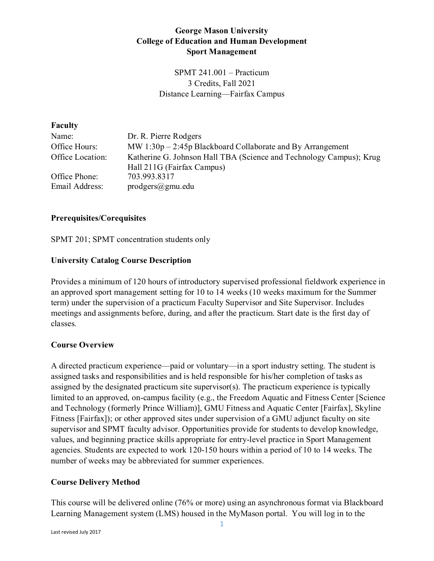## **George Mason University College of Education and Human Development Sport Management**

SPMT 241.001 – Practicum 3 Credits, Fall 2021 Distance Learning—Fairfax Campus

#### **Faculty**

| Name:                                                                                   | Dr. R. Pierre Rodgers                                        |
|-----------------------------------------------------------------------------------------|--------------------------------------------------------------|
| Office Hours:                                                                           | MW $1:30p - 2:45p$ Blackboard Collaborate and By Arrangement |
| Katherine G. Johnson Hall TBA (Science and Technology Campus); Krug<br>Office Location: |                                                              |
|                                                                                         | Hall 211G (Fairfax Campus)                                   |
| Office Phone:                                                                           | 703.993.8317                                                 |
| Email Address:                                                                          | $prodgers(\theta)$ gmu.edu                                   |

#### **Prerequisites/Corequisites**

SPMT 201; SPMT concentration students only

## **University Catalog Course Description**

Provides a minimum of 120 hours of introductory supervised professional fieldwork experience in an approved sport management setting for 10 to 14 weeks (10 weeks maximum for the Summer term) under the supervision of a practicum Faculty Supervisor and Site Supervisor. Includes meetings and assignments before, during, and after the practicum. Start date is the first day of classes.

## **Course Overview**

A directed practicum experience—paid or voluntary—in a sport industry setting. The student is assigned tasks and responsibilities and is held responsible for his/her completion of tasks as assigned by the designated practicum site supervisor(s). The practicum experience is typically limited to an approved, on-campus facility (e.g., the Freedom Aquatic and Fitness Center [Science and Technology (formerly Prince William)], GMU Fitness and Aquatic Center [Fairfax], Skyline Fitness [Fairfax]); or other approved sites under supervision of a GMU adjunct faculty on site supervisor and SPMT faculty advisor. Opportunities provide for students to develop knowledge, values, and beginning practice skills appropriate for entry-level practice in Sport Management agencies. Students are expected to work 120-150 hours within a period of 10 to 14 weeks. The number of weeks may be abbreviated for summer experiences.

## **Course Delivery Method**

This course will be delivered online (76% or more) using an asynchronous format via Blackboard Learning Management system (LMS) housed in the MyMason portal. You will log in to the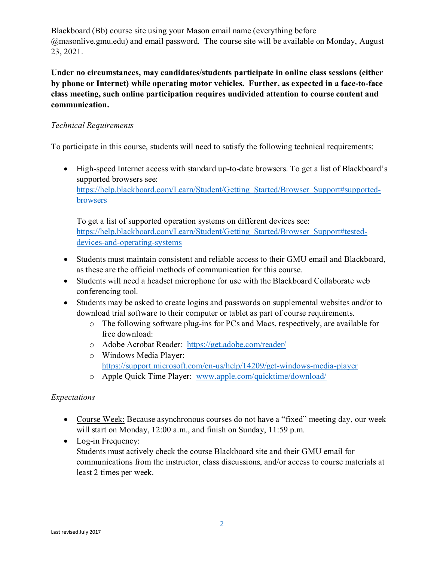Blackboard (Bb) course site using your Mason email name (everything before @masonlive.gmu.edu) and email password. The course site will be available on Monday, August 23, 2021.

**Under no circumstances, may candidates/students participate in online class sessions (either by phone or Internet) while operating motor vehicles. Further, as expected in a face-to-face class meeting, such online participation requires undivided attention to course content and communication.**

# *Technical Requirements*

To participate in this course, students will need to satisfy the following technical requirements:

• High-speed Internet access with standard up-to-date browsers. To get a list of Blackboard's supported browsers see: [https://help.blackboard.com/Learn/Student/Getting\\_Started/Browser\\_Support#supported](https://help.blackboard.com/Learn/Student/Getting_Started/Browser_Support#supported-browsers)[browsers](https://help.blackboard.com/Learn/Student/Getting_Started/Browser_Support#supported-browsers)

To get a list of supported operation systems on different devices see: [https://help.blackboard.com/Learn/Student/Getting\\_Started/Browser\\_Support#tested](https://help.blackboard.com/Learn/Student/Getting_Started/Browser_Support#tested-devices-and-operating-systems)[devices-and-operating-systems](https://help.blackboard.com/Learn/Student/Getting_Started/Browser_Support#tested-devices-and-operating-systems)

- Students must maintain consistent and reliable access to their GMU email and Blackboard, as these are the official methods of communication for this course.
- Students will need a headset microphone for use with the Blackboard Collaborate web conferencing tool.
- Students may be asked to create logins and passwords on supplemental websites and/or to download trial software to their computer or tablet as part of course requirements.
	- o The following software plug-ins for PCs and Macs, respectively, are available for free download:
	- o Adobe Acrobat Reader: <https://get.adobe.com/reader/>
	- o Windows Media Player: <https://support.microsoft.com/en-us/help/14209/get-windows-media-player>
	- o Apple Quick Time Player: [www.apple.com/quicktime/download/](http://www.apple.com/quicktime/download/)

## *Expectations*

- Course Week: Because asynchronous courses do not have a "fixed" meeting day, our week will start on Monday, 12:00 a.m., and finish on Sunday, 11:59 p.m.
- Log-in Frequency: Students must actively check the course Blackboard site and their GMU email for communications from the instructor, class discussions, and/or access to course materials at least 2 times per week.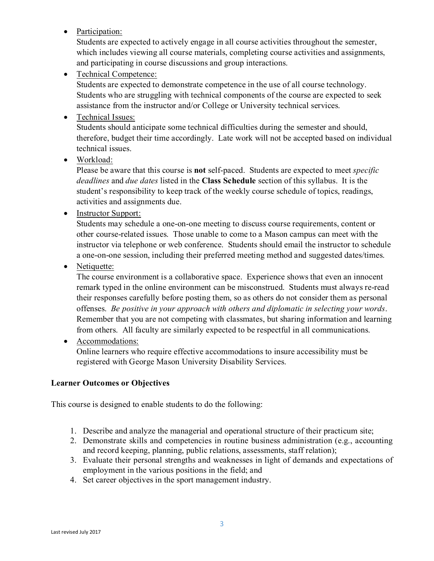• Participation:

Students are expected to actively engage in all course activities throughout the semester, which includes viewing all course materials, completing course activities and assignments, and participating in course discussions and group interactions.

• Technical Competence:

Students are expected to demonstrate competence in the use of all course technology. Students who are struggling with technical components of the course are expected to seek assistance from the instructor and/or College or University technical services.

• Technical Issues:

Students should anticipate some technical difficulties during the semester and should, therefore, budget their time accordingly. Late work will not be accepted based on individual technical issues.

• Workload:

Please be aware that this course is **not** self-paced. Students are expected to meet *specific deadlines* and *due dates* listed in the **Class Schedule** section of this syllabus. It is the student's responsibility to keep track of the weekly course schedule of topics, readings, activities and assignments due.

• Instructor Support:

Students may schedule a one-on-one meeting to discuss course requirements, content or other course-related issues. Those unable to come to a Mason campus can meet with the instructor via telephone or web conference. Students should email the instructor to schedule a one-on-one session, including their preferred meeting method and suggested dates/times.

• Netiquette:

The course environment is a collaborative space. Experience shows that even an innocent remark typed in the online environment can be misconstrued. Students must always re-read their responses carefully before posting them, so as others do not consider them as personal offenses. *Be positive in your approach with others and diplomatic in selecting your words*. Remember that you are not competing with classmates, but sharing information and learning from others. All faculty are similarly expected to be respectful in all communications.

• Accommodations:

Online learners who require effective accommodations to insure accessibility must be registered with George Mason University Disability Services.

## **Learner Outcomes or Objectives**

This course is designed to enable students to do the following:

- 1. Describe and analyze the managerial and operational structure of their practicum site;
- 2. Demonstrate skills and competencies in routine business administration (e.g., accounting and record keeping, planning, public relations, assessments, staff relation);
- 3. Evaluate their personal strengths and weaknesses in light of demands and expectations of employment in the various positions in the field; and
- 4. Set career objectives in the sport management industry.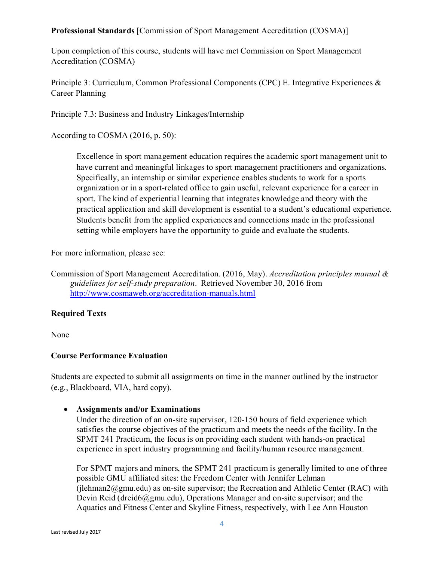## **Professional Standards** [Commission of Sport Management Accreditation (COSMA)]

Upon completion of this course, students will have met Commission on Sport Management Accreditation (COSMA)

Principle 3: Curriculum, Common Professional Components (CPC) E. Integrative Experiences & Career Planning

Principle 7.3: Business and Industry Linkages/Internship

According to COSMA (2016, p. 50):

Excellence in sport management education requires the academic sport management unit to have current and meaningful linkages to sport management practitioners and organizations. Specifically, an internship or similar experience enables students to work for a sports organization or in a sport-related office to gain useful, relevant experience for a career in sport. The kind of experiential learning that integrates knowledge and theory with the practical application and skill development is essential to a student's educational experience. Students benefit from the applied experiences and connections made in the professional setting while employers have the opportunity to guide and evaluate the students.

For more information, please see:

Commission of Sport Management Accreditation. (2016, May). *Accreditation principles manual & guidelines for self-study preparation*. Retrieved November 30, 2016 from <http://www.cosmaweb.org/accreditation-manuals.html>

## **Required Texts**

None

## **Course Performance Evaluation**

Students are expected to submit all assignments on time in the manner outlined by the instructor (e.g., Blackboard, VIA, hard copy).

## • **Assignments and/or Examinations**

Under the direction of an on-site supervisor, 120-150 hours of field experience which satisfies the course objectives of the practicum and meets the needs of the facility. In the SPMT 241 Practicum, the focus is on providing each student with hands-on practical experience in sport industry programming and facility/human resource management.

For SPMT majors and minors, the SPMT 241 practicum is generally limited to one of three possible GMU affiliated sites: the Freedom Center with Jennifer Lehman (ilehman2@gmu.edu) as on-site supervisor; the Recreation and Athletic Center (RAC) with Devin Reid (dreid6@gmu.edu), Operations Manager and on-site supervisor; and the Aquatics and Fitness Center and Skyline Fitness, respectively, with Lee Ann Houston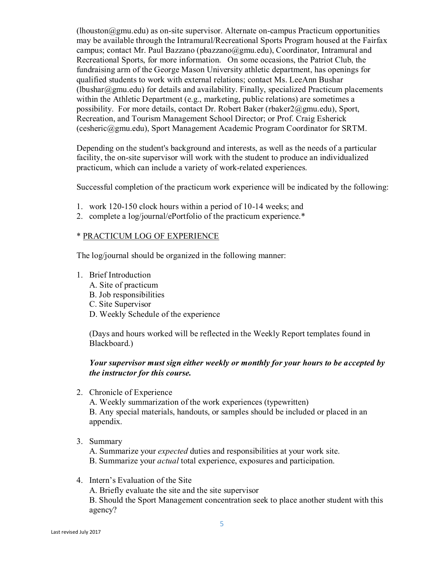$(1)$ houston $@g$ mu.edu) as on-site supervisor. Alternate on-campus Practicum opportunities may be available through the Intramural/Recreational Sports Program housed at the Fairfax campus; contact Mr. Paul Bazzano (pbazzano@gmu.edu), Coordinator, Intramural and Recreational Sports, for more information. On some occasions, the Patriot Club, the fundraising arm of the George Mason University athletic department, has openings for qualified students to work with external relations; contact Ms. LeeAnn Bushar (lbushar $@g$ mu.edu) for details and availability. Finally, specialized Practicum placements within the Athletic Department (e.g., marketing, public relations) are sometimes a possibility. For more details, contact Dr. Robert Baker (rbaker2@gmu.edu), Sport, Recreation, and Tourism Management School Director; or Prof. Craig Esherick (cesheric@gmu.edu), Sport Management Academic Program Coordinator for SRTM.

Depending on the student's background and interests, as well as the needs of a particular facility, the on-site supervisor will work with the student to produce an individualized practicum, which can include a variety of work-related experiences.

Successful completion of the practicum work experience will be indicated by the following:

- 1. work 120-150 clock hours within a period of 10-14 weeks; and
- 2. complete a log/journal/ePortfolio of the practicum experience.\*

#### \* PRACTICUM LOG OF EXPERIENCE

The log/journal should be organized in the following manner:

- 1. Brief Introduction
	- A. Site of practicum
	- B. Job responsibilities
	- C. Site Supervisor
	- D. Weekly Schedule of the experience

(Days and hours worked will be reflected in the Weekly Report templates found in Blackboard.)

#### *Your supervisor must sign either weekly or monthly for your hours to be accepted by the instructor for this course.*

2. Chronicle of Experience

A. Weekly summarization of the work experiences (typewritten) B. Any special materials, handouts, or samples should be included or placed in an appendix.

3. Summary

A. Summarize your *expected* duties and responsibilities at your work site. B. Summarize your *actual* total experience, exposures and participation.

4. Intern's Evaluation of the Site

A. Briefly evaluate the site and the site supervisor

B. Should the Sport Management concentration seek to place another student with this agency?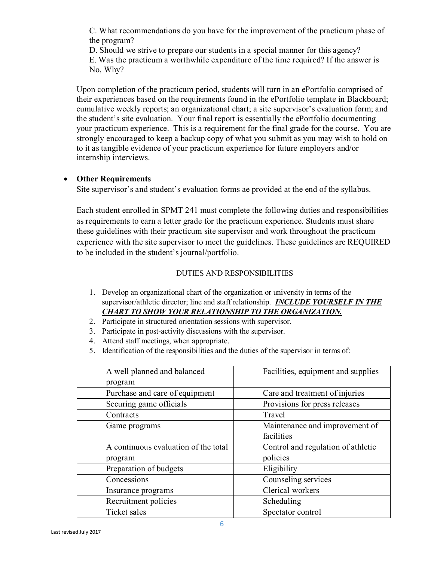C. What recommendations do you have for the improvement of the practicum phase of the program?

D. Should we strive to prepare our students in a special manner for this agency? E. Was the practicum a worthwhile expenditure of the time required? If the answer is No, Why?

Upon completion of the practicum period, students will turn in an ePortfolio comprised of their experiences based on the requirements found in the ePortfolio template in Blackboard; cumulative weekly reports; an organizational chart; a site supervisor's evaluation form; and the student's site evaluation. Your final report is essentially the ePortfolio documenting your practicum experience. This is a requirement for the final grade for the course. You are strongly encouraged to keep a backup copy of what you submit as you may wish to hold on to it as tangible evidence of your practicum experience for future employers and/or internship interviews.

## • **Other Requirements**

Site supervisor's and student's evaluation forms ae provided at the end of the syllabus.

Each student enrolled in SPMT 241 must complete the following duties and responsibilities as requirements to earn a letter grade for the practicum experience. Students must share these guidelines with their practicum site supervisor and work throughout the practicum experience with the site supervisor to meet the guidelines. These guidelines are REQUIRED to be included in the student's journal/portfolio.

## DUTIES AND RESPONSIBILITIES

- 1. Develop an organizational chart of the organization or university in terms of the supervisor/athletic director; line and staff relationship. *INCLUDE YOURSELF IN THE CHART TO SHOW YOUR RELATIONSHIP TO THE ORGANIZATION.*
- 2. Participate in structured orientation sessions with supervisor.
- 3. Participate in post-activity discussions with the supervisor.
- 4. Attend staff meetings, when appropriate.
- 5. Identification of the responsibilities and the duties of the supervisor in terms of:

| A well planned and balanced          | Facilities, equipment and supplies |
|--------------------------------------|------------------------------------|
| program                              |                                    |
| Purchase and care of equipment       | Care and treatment of injuries     |
| Securing game officials              | Provisions for press releases      |
| Contracts                            | Travel                             |
| Game programs                        | Maintenance and improvement of     |
|                                      | facilities                         |
| A continuous evaluation of the total | Control and regulation of athletic |
| program                              | policies                           |
| Preparation of budgets               | Eligibility                        |
| Concessions                          | Counseling services                |
| Insurance programs                   | Clerical workers                   |
| Recruitment policies                 | Scheduling                         |
| Ticket sales                         | Spectator control                  |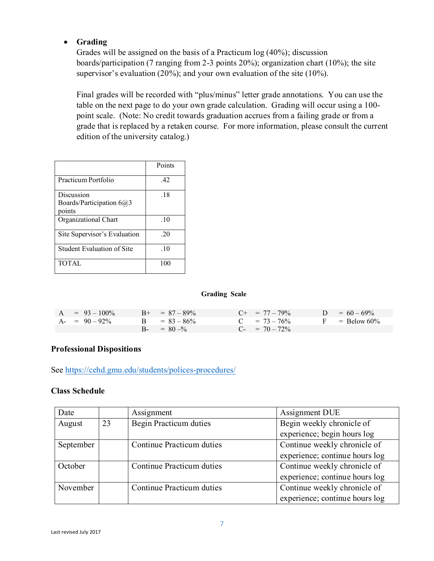## • **Grading**

Grades will be assigned on the basis of a Practicum log (40%); discussion boards/participation (7 ranging from 2-3 points 20%); organization chart (10%); the site supervisor's evaluation (20%); and your own evaluation of the site (10%).

Final grades will be recorded with "plus/minus" letter grade annotations. You can use the table on the next page to do your own grade calculation. Grading will occur using a 100 point scale. (Note: No credit towards graduation accrues from a failing grade or from a grade that is replaced by a retaken course. For more information, please consult the current edition of the university catalog.)

|                                                  | Points |
|--------------------------------------------------|--------|
| Practicum Portfolio                              | .42    |
| Discussion<br>Boards/Participation 6@3<br>points | .18    |
| Organizational Chart                             | .10    |
| Site Supervisor's Evaluation                     | .20    |
| Student Evaluation of Site                       | .10    |
| <b>TOTAL</b>                                     | 100    |

#### **Grading Scale**

| $A = 93 - 100\%$ | $B_{+} = 87 - 89\%$ | $C_{\pm} = 77 - 79\%$ | $D = 60 - 69\%$ |
|------------------|---------------------|-----------------------|-----------------|
| $A = 90 - 92\%$  | $B = 83 - 86\%$     | $C = 73 - 76\%$       | $F =$ Below 60% |
|                  | $B = 80 - %$        | $C_{-}$ = 70 - 72%    |                 |

#### **Professional Dispositions**

See<https://cehd.gmu.edu/students/polices-procedures/>

#### **Class Schedule**

| Date      |    | Assignment                | Assignment DUE                 |  |
|-----------|----|---------------------------|--------------------------------|--|
| August    | 23 | Begin Practicum duties    | Begin weekly chronicle of      |  |
|           |    |                           | experience; begin hours log    |  |
| September |    | Continue Practicum duties | Continue weekly chronicle of   |  |
|           |    |                           | experience; continue hours log |  |
| October   |    | Continue Practicum duties | Continue weekly chronicle of   |  |
|           |    |                           | experience; continue hours log |  |
| November  |    | Continue Practicum duties | Continue weekly chronicle of   |  |
|           |    |                           | experience; continue hours log |  |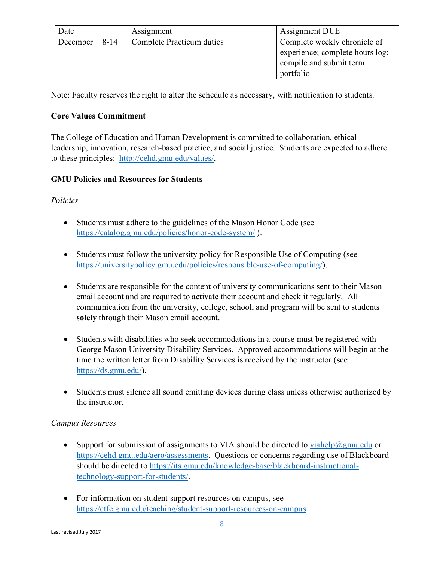| Date     |          | Assignment                | Assignment DUE                  |
|----------|----------|---------------------------|---------------------------------|
| December | $8 - 14$ | Complete Practicum duties | Complete weekly chronicle of    |
|          |          |                           | experience; complete hours log; |
|          |          |                           | compile and submit term         |
|          |          |                           | portfolio                       |

Note: Faculty reserves the right to alter the schedule as necessary, with notification to students.

## **Core Values Commitment**

The College of Education and Human Development is committed to collaboration, ethical leadership, innovation, research-based practice, and social justice. Students are expected to adhere to these principles: [http://cehd.gmu.edu/values/.](http://cehd.gmu.edu/values/)

## **GMU Policies and Resources for Students**

## *Policies*

- Students must adhere to the guidelines of the Mason Honor Code (see <https://catalog.gmu.edu/policies/honor-code-system/> ).
- Students must follow the university policy for Responsible Use of Computing (see [https://universitypolicy.gmu.edu/policies/responsible-use-of-computing/\)](https://universitypolicy.gmu.edu/policies/responsible-use-of-computing/).
- Students are responsible for the content of university communications sent to their Mason email account and are required to activate their account and check it regularly. All communication from the university, college, school, and program will be sent to students **solely** through their Mason email account.
- Students with disabilities who seek accommodations in a course must be registered with George Mason University Disability Services. Approved accommodations will begin at the time the written letter from Disability Services is received by the instructor (see [https://ds.gmu.edu/\)](https://ds.gmu.edu/).
- Students must silence all sound emitting devices during class unless otherwise authorized by the instructor.

## *Campus Resources*

- Support for submission of assignments to VIA should be directed to [viahelp@gmu.edu](mailto:viahelp@gmu.edu) or [https://cehd.gmu.edu/aero/assessments.](https://cehd.gmu.edu/aero/assessments) Questions or concerns regarding use of Blackboard should be directed to [https://its.gmu.edu/knowledge-base/blackboard-instructional](https://its.gmu.edu/knowledge-base/blackboard-instructional-technology-support-for-students/)[technology-support-for-students/.](https://its.gmu.edu/knowledge-base/blackboard-instructional-technology-support-for-students/)
- For information on student support resources on campus, see <https://ctfe.gmu.edu/teaching/student-support-resources-on-campus>